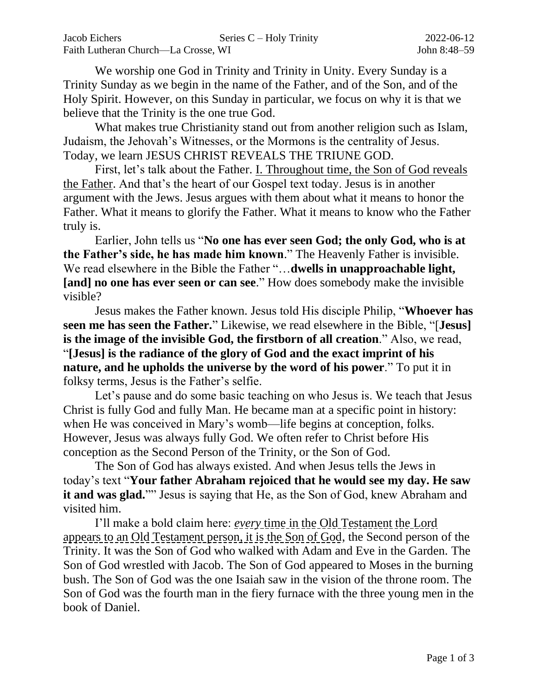We worship one God in Trinity and Trinity in Unity. Every Sunday is a Trinity Sunday as we begin in the name of the Father, and of the Son, and of the Holy Spirit. However, on this Sunday in particular, we focus on why it is that we believe that the Trinity is the one true God.

What makes true Christianity stand out from another religion such as Islam, Judaism, the Jehovah's Witnesses, or the Mormons is the centrality of Jesus. Today, we learn JESUS CHRIST REVEALS THE TRIUNE GOD.

First, let's talk about the Father. I. Throughout time, the Son of God reveals the Father. And that's the heart of our Gospel text today. Jesus is in another argument with the Jews. Jesus argues with them about what it means to honor the Father. What it means to glorify the Father. What it means to know who the Father truly is.

Earlier, John tells us "**No one has ever seen God; the only God, who is at the Father's side, he has made him known**." The Heavenly Father is invisible. We read elsewhere in the Bible the Father "…**dwells in unapproachable light, [and] no one has ever seen or can see**." How does somebody make the invisible visible?

Jesus makes the Father known. Jesus told His disciple Philip, "**Whoever has seen me has seen the Father.**" Likewise, we read elsewhere in the Bible, "[**Jesus] is the image of the invisible God, the firstborn of all creation**." Also, we read, "**[Jesus] is the radiance of the glory of God and the exact imprint of his nature, and he upholds the universe by the word of his power**." To put it in folksy terms, Jesus is the Father's selfie.

Let's pause and do some basic teaching on who Jesus is. We teach that Jesus Christ is fully God and fully Man. He became man at a specific point in history: when He was conceived in Mary's womb—life begins at conception, folks. However, Jesus was always fully God. We often refer to Christ before His conception as the Second Person of the Trinity, or the Son of God.

The Son of God has always existed. And when Jesus tells the Jews in today's text "**Your father Abraham rejoiced that he would see my day. He saw it and was glad.**"" Jesus is saying that He, as the Son of God, knew Abraham and visited him.

I'll make a bold claim here: *every* time in the Old Testament the Lord appears to an Old Testament person, it is the Son of God, the Second person of the Trinity. It was the Son of God who walked with Adam and Eve in the Garden. The Son of God wrestled with Jacob. The Son of God appeared to Moses in the burning bush. The Son of God was the one Isaiah saw in the vision of the throne room. The Son of God was the fourth man in the fiery furnace with the three young men in the book of Daniel.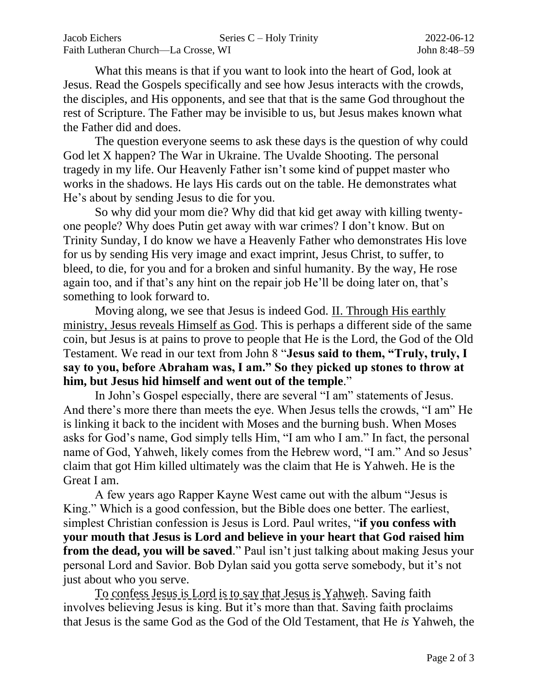What this means is that if you want to look into the heart of God, look at Jesus. Read the Gospels specifically and see how Jesus interacts with the crowds, the disciples, and His opponents, and see that that is the same God throughout the rest of Scripture. The Father may be invisible to us, but Jesus makes known what the Father did and does.

The question everyone seems to ask these days is the question of why could God let X happen? The War in Ukraine. The Uvalde Shooting. The personal tragedy in my life. Our Heavenly Father isn't some kind of puppet master who works in the shadows. He lays His cards out on the table. He demonstrates what He's about by sending Jesus to die for you.

So why did your mom die? Why did that kid get away with killing twentyone people? Why does Putin get away with war crimes? I don't know. But on Trinity Sunday, I do know we have a Heavenly Father who demonstrates His love for us by sending His very image and exact imprint, Jesus Christ, to suffer, to bleed, to die, for you and for a broken and sinful humanity. By the way, He rose again too, and if that's any hint on the repair job He'll be doing later on, that's something to look forward to.

Moving along, we see that Jesus is indeed God. II. Through His earthly ministry, Jesus reveals Himself as God. This is perhaps a different side of the same coin, but Jesus is at pains to prove to people that He is the Lord, the God of the Old Testament. We read in our text from John 8 "**Jesus said to them, "Truly, truly, I say to you, before Abraham was, I am." So they picked up stones to throw at him, but Jesus hid himself and went out of the temple**."

In John's Gospel especially, there are several "I am" statements of Jesus. And there's more there than meets the eye. When Jesus tells the crowds, "I am" He is linking it back to the incident with Moses and the burning bush. When Moses asks for God's name, God simply tells Him, "I am who I am." In fact, the personal name of God, Yahweh, likely comes from the Hebrew word, "I am." And so Jesus' claim that got Him killed ultimately was the claim that He is Yahweh. He is the Great I am.

A few years ago Rapper Kayne West came out with the album "Jesus is King." Which is a good confession, but the Bible does one better. The earliest, simplest Christian confession is Jesus is Lord. Paul writes, "**if you confess with your mouth that Jesus is Lord and believe in your heart that God raised him from the dead, you will be saved**." Paul isn't just talking about making Jesus your personal Lord and Savior. Bob Dylan said you gotta serve somebody, but it's not just about who you serve.

To confess Jesus is Lord is to say that Jesus is Yahweh. Saving faith involves believing Jesus is king. But it's more than that. Saving faith proclaims that Jesus is the same God as the God of the Old Testament, that He *is* Yahweh, the